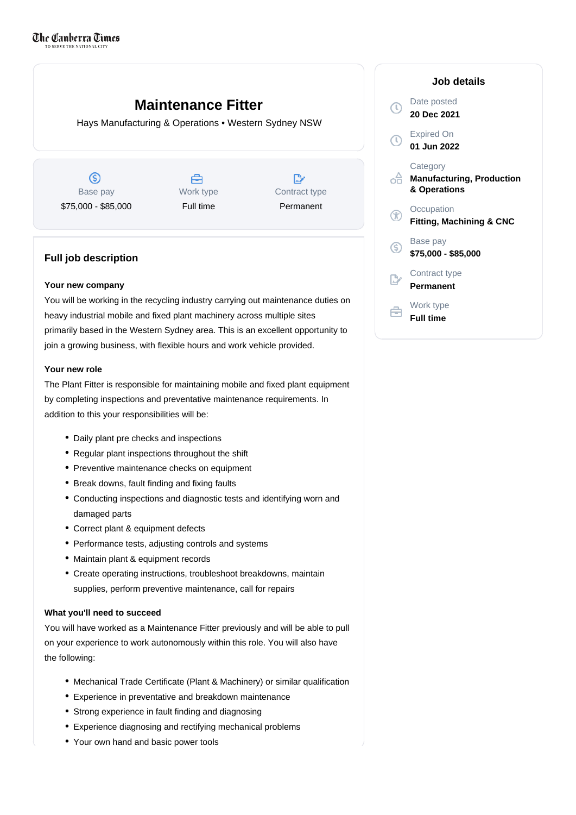# **Maintenance Fitter**

Hays Manufacturing & Operations • Western Sydney NSW

 $\circledS$ Base pay \$75,000 - \$85,000

Å Work type Full time

D Contract type Permanent

# **Full job description**

# **Your new company**

You will be working in the recycling industry carrying out maintenance duties on heavy industrial mobile and fixed plant machinery across multiple sites primarily based in the Western Sydney area. This is an excellent opportunity to join a growing business, with flexible hours and work vehicle provided.

# **Your new role**

The Plant Fitter is responsible for maintaining mobile and fixed plant equipment by completing inspections and preventative maintenance requirements. In addition to this your responsibilities will be:

- Daily plant pre checks and inspections
- Regular plant inspections throughout the shift
- Preventive maintenance checks on equipment
- Break downs, fault finding and fixing faults
- Conducting inspections and diagnostic tests and identifying worn and damaged parts
- Correct plant & equipment defects
- Performance tests, adjusting controls and systems
- Maintain plant & equipment records
- Create operating instructions, troubleshoot breakdowns, maintain supplies, perform preventive maintenance, call for repairs

### **What you'll need to succeed**

You will have worked as a Maintenance Fitter previously and will be able to pull on your experience to work autonomously within this role. You will also have the following:

- Mechanical Trade Certificate (Plant & Machinery) or similar qualification
- Experience in preventative and breakdown maintenance
- Strong experience in fault finding and diagnosing
- Experience diagnosing and rectifying mechanical problems
- Your own hand and basic power tools

| Job details                                                  |
|--------------------------------------------------------------|
| Date posted<br>20 Dec 2021                                   |
| <b>Expired On</b><br>01 Jun 2022                             |
| Category<br><b>Manufacturing, Production</b><br>& Operations |
| Occupation<br><b>Fitting, Machining &amp; CNC</b>            |
| Base pay<br>\$75,000 - \$85,000                              |
| Contract type<br>Permanent                                   |
| Work type                                                    |

**Full time**

F